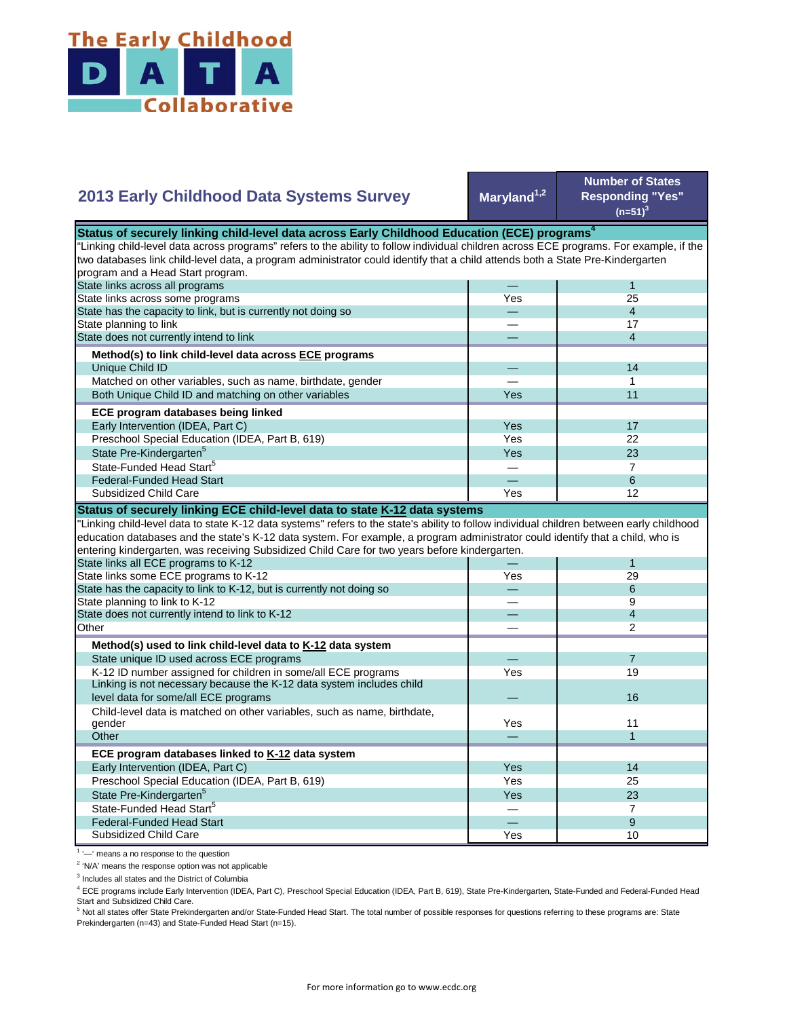

## Maryland<sup>1,2</sup> **Number of States Responding "Yes"**   $(n=51)^{3}$ — 1 Yes 25 — 4 — 17 — 4 — 14 — 1 Yes **1** 11 Yes I 17 Yes **I** 22  $Yes$  23 — 7 State Pre-Kindergarten<sup>5</sup> State-Funded Head Start<sup>5</sup> Matched on other variables, such as name, birthdate, gender Both Unique Child ID and matching on other variables  **ECE program databases being linked**  Early Intervention (IDEA, Part C) Preschool Special Education (IDEA, Part B, 619) State has the capacity to link, but is currently not doing so State planning to link State does not currently intend to link  **Method(s) to link child-level data across ECE programs** Unique Child ID **2013 Early Childhood Data Systems Survey** Status of securely linking child-level data across Early Childhood Education (ECE) programs<sup>4</sup> "Linking child-level data across programs" refers to the ability to follow individual children across ECE programs. For example, if the two databases link child-level data, a program administrator could identify that a child attends both a State Pre-Kindergarten program and a Head Start program. State links across all programs State links across some programs — 6 Yes 12 — 1 Yes 29 — 6 — 9 — 4 — 2 — 7 Yes 19  $\overline{\phantom{0}}$ Yes 11 — 1 Yes I 14 Yes 25 Yes 23 — 7 — 9 Preschool Special Education (IDEA, Part B, 619) State Pre-Kindergarten<sup>5</sup> State-Funded Head Start<sup>5</sup> Federal-Funded Head Start Child-level data is matched on other variables, such as name, birthdate, gender **Other ECE program databases linked to K-12 data system** Early Intervention (IDEA, Part C) **Other Method(s) used to link child-level data to K-12 data system** State unique ID used across ECE programs K-12 ID number assigned for children in some/all ECE programs Linking is not necessary because the K-12 data system includes child level data for some/all ECE programs 16 and 200 minutes and 200 minutes of the control of the control of the control of the control of the control of the control of the control of the control of the control of the control "Linking child-level data to state K-12 data systems" refers to the state's ability to follow individual children between early childhood education databases and the state's K-12 data system. For example, a program administrator could identify that a child, who is entering kindergarten, was receiving Subsidized Child Care for two years before kindergarten. State links all ECE programs to K-12 State links some ECE programs to K-12 State has the capacity to link to K-12, but is currently not doing so State planning to link to K-12 State does not currently intend to link to K-12 Federal-Funded Head Start Subsidized Child Care **Status of securely linking ECE child-level data to state K-12 data systems**

Subsidized Child Care

<sup>1</sup> '-' means a no response to the question

<sup>2</sup> 'N/A' means the response option was not applicable

<sup>3</sup> Includes all states and the District of Columbia

<sup>4</sup> ECE programs include Early Intervention (IDEA, Part C), Preschool Special Education (IDEA, Part B, 619), State Pre-Kindergarten, State-Funded and Federal-Funded Head Start and Subsidized Child Care.

Yes 10

<sup>5</sup> Not all states offer State Prekindergarten and/or State-Funded Head Start. The total number of possible responses for questions referring to these programs are: State Prekindergarten (n=43) and State-Funded Head Start (n=15).